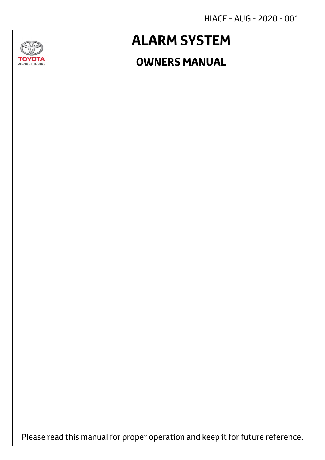HIACE - AUG - 2020 - 001

## **ALARM SYSTEM**

### **OWNERS MANUAL**



**GAD** 

Please read this manual for proper operation and keep it for future reference.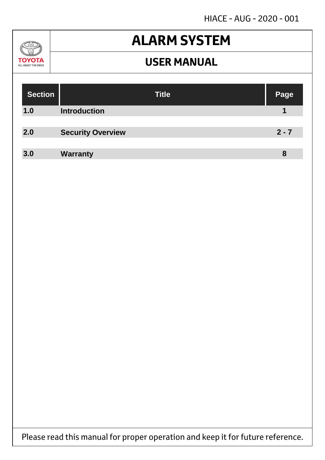HIACE - AUG - 2020 - 001

### $\mathcal{U}$ **TOYOTA** ALL ABOUT THE DRIVE

## **ALARM SYSTEM**

### **USER MANUAL**

| <b>Section</b> |                          | <b>Title</b> | Page    |
|----------------|--------------------------|--------------|---------|
| 1.0            | <b>Introduction</b>      |              |         |
|                |                          |              |         |
| 2.0            | <b>Security Overview</b> |              | $2 - 7$ |
|                |                          |              |         |
| 3.0            | <b>Warranty</b>          |              | 8       |

Please read this manual for proper operation and keep it for future reference.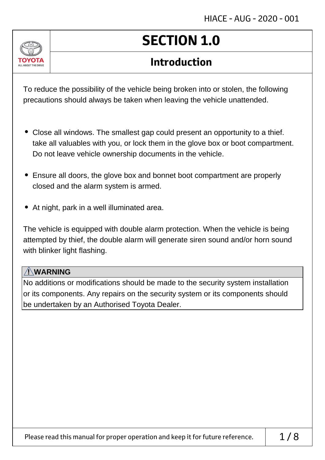

# **SECTION 1.0**

## **Introduction**

To reduce the possibility of the vehicle being broken into or stolen, the following precautions should always be taken when leaving the vehicle unattended.

- Close all windows. The smallest gap could present an opportunity to a thief. take all valuables with you, or lock them in the glove box or boot compartment. Do not leave vehicle ownership documents in the vehicle.
- Ensure all doors, the glove box and bonnet boot compartment are properly closed and the alarm system is armed.
- At night, park in a well illuminated area.

The vehicle is equipped with double alarm protection. When the vehicle is being attempted by thief, the double alarm will generate siren sound and/or horn sound with blinker light flashing.

### **! WARNING**

No additions or modifications should be made to the security system installation or its components. Any repairs on the security system or its components should be undertaken by an Authorised Toyota Dealer.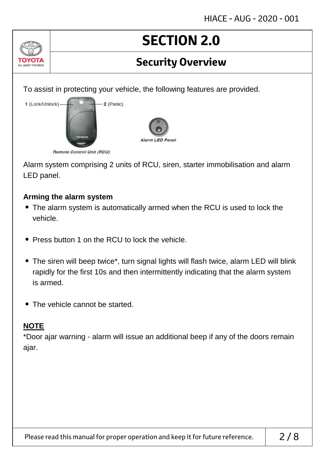## **Security Overview**

To assist in protecting your vehicle, the following features are provided.



Alarm system comprising 2 units of RCU, siren, starter immobilisation and alarm LED panel.

#### **Arming the alarm system**

- The alarm system is automatically armed when the RCU is used to lock the vehicle.
- Press button 1 on the RCU to lock the vehicle.
- The siren will beep twice\*, turn signal lights will flash twice, alarm LED will blink rapidly for the first 10s and then intermittently indicating that the alarm system is armed.
- The vehicle cannot be started.

### **NOTE**

ALL AROUT THE DRIV

\*Door ajar warning - alarm will issue an additional beep if any of the doors remain ajar.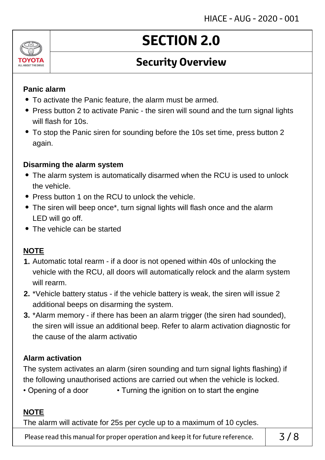

## **Security Overview**

#### **Panic alarm**

- To activate the Panic feature, the alarm must be armed.
- Press button 2 to activate Panic the siren will sound and the turn signal lights will flash for 10s.
- To stop the Panic siren for sounding before the 10s set time, press button 2 again.

#### **Disarming the alarm system**

- The alarm system is automatically disarmed when the RCU is used to unlock the vehicle.
- Press button 1 on the RCU to unlock the vehicle.
- The siren will beep once\*, turn signal lights will flash once and the alarm LED will go off.
- The vehicle can be started

### **NOTE**

- **1.** Automatic total rearm if a door is not opened within 40s of unlocking the vehicle with the RCU, all doors will automatically relock and the alarm system will rearm.
- **2.** \*Vehicle battery status if the vehicle battery is weak, the siren will issue 2 additional beeps on disarming the system.
- **3.** \*Alarm memory if there has been an alarm trigger (the siren had sounded), the siren will issue an additional beep. Refer to alarm activation diagnostic for the cause of the alarm activatio

### **Alarm activation**

The system activates an alarm (siren sounding and turn signal lights flashing) if the following unauthorised actions are carried out when the vehicle is locked.

• Opening of a door • Turning the ignition on to start the engine

### **NOTE**

The alarm will activate for 25s per cycle up to a maximum of 10 cycles.

Please read this manual for proper operation and keep it for future reference.  $\vert$  3/8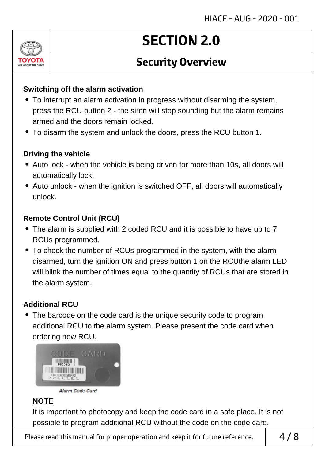

## **Security Overview**

#### **Switching off the alarm activation**

- To interrupt an alarm activation in progress without disarming the system, press the RCU button 2 - the siren will stop sounding but the alarm remains armed and the doors remain locked.
- To disarm the system and unlock the doors, press the RCU button 1.

#### **Driving the vehicle**

- Auto lock when the vehicle is being driven for more than 10s, all doors will automatically lock.
- Auto unlock when the ignition is switched OFF, all doors will automatically unlock.

#### **Remote Control Unit (RCU)**

- The alarm is supplied with 2 coded RCU and it is possible to have up to 7 RCUs programmed.
- To check the number of RCUs programmed in the system, with the alarm disarmed, turn the ignition ON and press button 1 on the RCUthe alarm LED will blink the number of times equal to the quantity of RCUs that are stored in the alarm system.

### **Additional RCU**

• The barcode on the code card is the unique security code to program additional RCU to the alarm system. Please present the code card when ordering new RCU.





### **NOTE**

It is important to photocopy and keep the code card in a safe place. It is not possible to program additional RCU without the code on the code card.

Please read this manual for proper operation and keep it for future reference.  $\vert 4/8$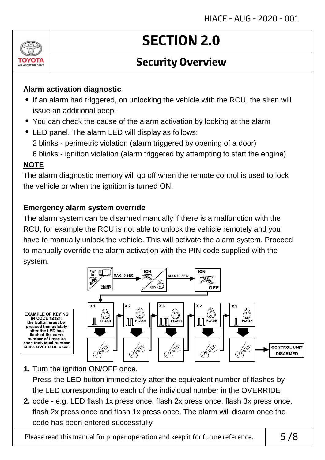

## **Security Overview**

### **Alarm activation diagnostic**

- If an alarm had triggered, on unlocking the vehicle with the RCU, the siren will issue an additional beep.
- You can check the cause of the alarm activation by looking at the alarm
- LED panel. The alarm LED will display as follows:
	- 2 blinks perimetric violation (alarm triggered by opening of a door)
	- 6 blinks ignition violation (alarm triggered by attempting to start the engine)

### **NOTE**

The alarm diagnostic memory will go off when the remote control is used to lock the vehicle or when the ignition is turned ON.

### **Emergency alarm system override**

The alarm system can be disarmed manually if there is a malfunction with the RCU, for example the RCU is not able to unlock the vehicle remotely and you have to manually unlock the vehicle. This will activate the alarm system. Proceed to manually override the alarm activation with the PIN code supplied with the system.



- **1.** Turn the ignition ON/OFF once. Press the LED button immediately after the equivalent number of flashes by the LED corresponding to each of the individual number in the OVERRIDE
- **2.** code e.g. LED flash 1x press once, flash 2x press once, flash 3x press once, flash 2x press once and flash 1x press once. The alarm will disarm once the code has been entered successfully

Please read this manual for proper operation and keep it for future reference.  $\vert$  5/8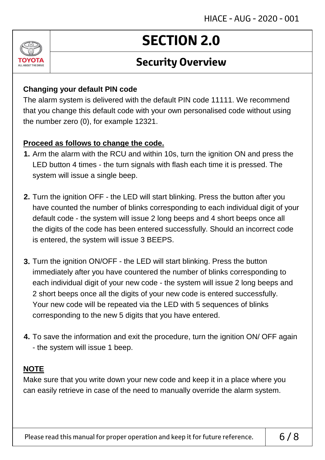

## **Security Overview**

#### **Changing your default PIN code**

The alarm system is delivered with the default PIN code 11111. We recommend that you change this default code with your own personalised code without using the number zero (0), for example 12321.

#### **Proceed as follows to change the code.**

- **1.** Arm the alarm with the RCU and within 10s, turn the ignition ON and press the LED button 4 times - the turn signals with flash each time it is pressed. The system will issue a single beep.
- **2.** Turn the ignition OFF the LED will start blinking. Press the button after you have counted the number of blinks corresponding to each individual digit of your default code - the system will issue 2 long beeps and 4 short beeps once all the digits of the code has been entered successfully. Should an incorrect code is entered, the system will issue 3 BEEPS.
- **3.** Turn the ignition ON/OFF the LED will start blinking. Press the button immediately after you have countered the number of blinks corresponding to each individual digit of your new code - the system will issue 2 long beeps and 2 short beeps once all the digits of your new code is entered successfully. Your new code will be repeated via the LED with 5 sequences of blinks corresponding to the new 5 digits that you have entered.
- **4.** To save the information and exit the procedure, turn the ignition ON/ OFF again - the system will issue 1 beep.

### **NOTE**

Make sure that you write down your new code and keep it in a place where you can easily retrieve in case of the need to manually override the alarm system.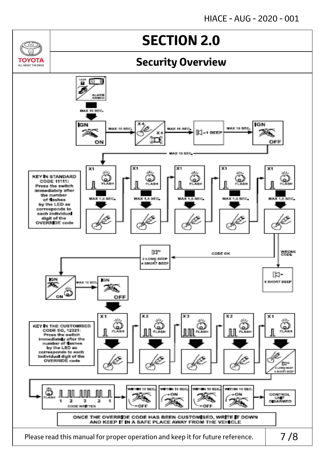